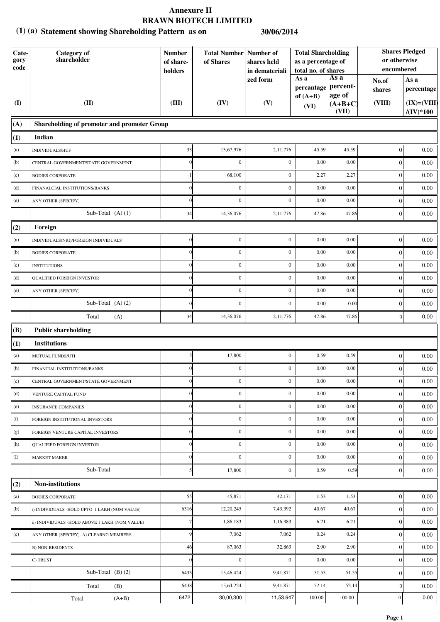#### **Statement showing Shareholding Pattern as on (1) (a) 30/06/2014**

| Cate-<br>gory<br>code | Category of<br>shareholder                     | <b>Number</b><br>of share-<br>holders | <b>Total Number   Number of</b><br>of Shares | shares held<br>in demateriali | <b>Total Shareholding</b><br>as a percentage of<br>total no. of shares              |        | or otherwise<br>encumbered | <b>Shares Pledged</b>               |
|-----------------------|------------------------------------------------|---------------------------------------|----------------------------------------------|-------------------------------|-------------------------------------------------------------------------------------|--------|----------------------------|-------------------------------------|
| (I)                   | (II)                                           | (III)                                 | (IV)                                         | zed form<br>(V)               | As a<br>As a<br>percent-<br>percantage<br>age of<br>of $(A+B)$<br>$(A+B+C)$<br>(VI) |        | No.of<br>shares<br>(VIII)  | As a<br>percentage<br>$(IX)=(VIII)$ |
|                       |                                                |                                       |                                              |                               |                                                                                     | (VII)  |                            | $/(\mathrm{IV})^*100$               |
| (A)                   | Shareholding of promoter and promoter Group    |                                       |                                              |                               |                                                                                     |        |                            |                                     |
| (1)                   | Indian                                         |                                       |                                              |                               |                                                                                     |        |                            |                                     |
| (a)                   | <b>INDIVIDUALS/HUF</b>                         | 33                                    | 13,67,976                                    | 2,11,776                      | 45.59                                                                               | 45.59  | 0                          | 0.00                                |
| (b)                   | CENTRAL GOVERNMENT/STATE GOVERNMENT            |                                       | $\boldsymbol{0}$                             | $\overline{0}$                | 0.00                                                                                | 0.00   | $\overline{0}$             | 0.00                                |
| (c)                   | <b>BODIES CORPORATE</b>                        |                                       | 68,100                                       | $\boldsymbol{0}$              | 2.27                                                                                | 2.27   | $\boldsymbol{0}$           | 0.00                                |
| $\left( d\right)$     | FINANALCIAL INSTITUTIONS/BANKS                 |                                       | $\boldsymbol{0}$                             | $\boldsymbol{0}$              | 0.00                                                                                | 0.00   | $\boldsymbol{0}$           | 0.00                                |
| (e)                   | ANY OTHER (SPECIFY)                            |                                       | $\boldsymbol{0}$                             | $\mathbf{0}$                  | 0.00                                                                                | 0.00   | $\boldsymbol{0}$           | 0.00                                |
|                       | Sub-Total $(A)$ $(1)$                          | 34                                    | 14,36,076                                    | 2,11,776                      | 47.86                                                                               | 47.86  | $\boldsymbol{0}$           | 0.00                                |
| (2)                   | Foreign                                        |                                       |                                              |                               |                                                                                     |        |                            |                                     |
| (a)                   | INDIVIDUALS(NRI)/FOREIGN INDIVIDUALS           | $\Omega$                              | $\boldsymbol{0}$                             | $\mathbf{0}$                  | 0.00                                                                                | 0.00   | $\vert 0 \vert$            | 0.00                                |
| (b)                   | <b>BODIES CORPORATE</b>                        | $\Omega$                              | $\boldsymbol{0}$                             | $\mathbf{0}$                  | 0.00                                                                                | 0.00   | $\overline{0}$             | 0.00                                |
| (c)                   | <b>INSTITUTIONS</b>                            |                                       | $\boldsymbol{0}$                             | $\mathbf{0}$                  | 0.00                                                                                | 0.00   | $\boldsymbol{0}$           | 0.00                                |
| (d)                   | <b>QUALIFIED FOREIGN INVESTOR</b>              |                                       | $\boldsymbol{0}$                             | $\mathbf{0}$                  | 0.00                                                                                | 0.00   | $\overline{0}$             | 0.00                                |
| (e)                   | ANY OTHER (SPECIFY)                            |                                       | $\boldsymbol{0}$                             | $\boldsymbol{0}$              | 0.00                                                                                | 0.00   | $\boldsymbol{0}$           | 0.00                                |
|                       | Sub-Total $(A)$ $(2)$                          |                                       | $\boldsymbol{0}$                             | $\mathbf{0}$                  | 0.00                                                                                | 0.00   | $\boldsymbol{0}$           | 0.00                                |
|                       | Total<br>(A)                                   | 34                                    | 14,36,076                                    | 2,11,776                      | 47.86                                                                               | 47.86  | $\overline{0}$             | 0.00                                |
| (B)                   | <b>Public shareholding</b>                     |                                       |                                              |                               |                                                                                     |        |                            |                                     |
| (1)                   | <b>Institutions</b>                            |                                       |                                              |                               |                                                                                     |        |                            |                                     |
| (a)                   | MUTUAL FUNDS/UTI                               |                                       | 17,800                                       | $\boldsymbol{0}$              | 0.59                                                                                | 0.59   | $\boldsymbol{0}$           | 0.00                                |
| (b)                   | FINANCIAL INSTITUTIONS/BANKS                   |                                       | $\boldsymbol{0}$                             | $\mathbf{0}$                  | 0.00                                                                                | 0.00   | $\mathbf{0}$               | 0.00                                |
| (c)                   | CENTRAL GOVERNMENT/STATE GOVERNMENT            | $\overline{0}$                        | $\boldsymbol{0}$                             | $\mathbf{0}$                  | 0.00                                                                                | 0.00   | $\vert 0 \vert$            | 0.00                                |
| (d)                   | VENTURE CAPITAL FUND                           |                                       | $\boldsymbol{0}$                             | $\overline{0}$                | 0.00                                                                                | 0.00   | $\overline{0}$             | 0.00                                |
| (e)                   | <b>INSURANCE COMPANIES</b>                     | $\Omega$                              | $\boldsymbol{0}$                             | $\mathbf{0}$                  | 0.00                                                                                | 0.00   | $\overline{0}$             | 0.00                                |
| (f)                   | FOREIGN INSTITUTIONAL INVESTORS                | $\Omega$                              | $\boldsymbol{0}$                             | $\boldsymbol{0}$              | 0.00                                                                                | 0.00   | $\overline{0}$             | 0.00                                |
| (g)                   | FOREIGN VENTURE CAPITAL INVESTORS              | $\Omega$                              | $\boldsymbol{0}$                             | $\mathbf{0}$                  | 0.00                                                                                | 0.00   | $\boldsymbol{0}$           | 0.00                                |
| (h)                   | <b>QUALIFIED FOREIGN INVESTOR</b>              |                                       | $\boldsymbol{0}$                             | $\boldsymbol{0}$              | 0.00                                                                                | 0.00   | $\boldsymbol{0}$           | 0.00                                |
| $\rm (I)$             | <b>MARKET MAKER</b>                            | $\Omega$                              | $\boldsymbol{0}$                             | $\mathbf{0}$                  | 0.00                                                                                | 0.00   | $\boldsymbol{0}$           | 0.00                                |
|                       | Sub-Total                                      |                                       | 17,800                                       | $\mathbf{0}$                  | 0.59                                                                                | 0.59   | $\boldsymbol{0}$           | 0.00                                |
| (2)                   | <b>Non-institutions</b>                        |                                       |                                              |                               |                                                                                     |        |                            |                                     |
| (a)                   | <b>BODIES CORPORATE</b>                        | 55                                    | 45,871                                       | 42,171                        | 1.53                                                                                | 1.53   | $\vert 0 \vert$            | 0.00                                |
| (b)                   | i) INDIVIDUALS -HOLD UPTO 1 LAKH (NOM VALUE)   | 6316                                  | 12, 20, 245                                  | 7,43,392                      | 40.67                                                                               | 40.67  | $\overline{0}$             | 0.00                                |
|                       | ii) INDIVIDUALS -HOLD ABOVE 1 LAKH (NOM VALUE) |                                       | 1,86,183                                     | 1,16,383                      | 6.21                                                                                | 6.21   | $\overline{0}$             | 0.00                                |
| (c)                   | ANY OTHER (SPECIFY)- A) CLEARNG MEMBERS        | 9                                     | 7,062                                        | 7,062                         | 0.24                                                                                | 0.24   | $\boldsymbol{0}$           | 0.00                                |
|                       | <b>B) NON-RESIDENTS</b>                        | 46                                    | 87,063                                       | 32,863                        | 2.90                                                                                | 2.90   | $\boldsymbol{0}$           | 0.00                                |
|                       | C) TRUST                                       | $\Omega$                              | $\mathbf{0}$                                 | $\mathbf{0}$                  | 0.00                                                                                | 0.00   | $\boldsymbol{0}$           | 0.00                                |
|                       | Sub-Total $(B)(2)$                             | 6433                                  | 15,46,424                                    | 9,41,871                      | 51.55                                                                               | 51.55  | $\boldsymbol{0}$           | 0.00                                |
|                       | Total<br>(B)                                   | 6438                                  | 15,64,224                                    | 9,41,871                      | 52.14                                                                               | 52.14  | $\boldsymbol{0}$           | 0.00                                |
|                       | $(A+B)$<br>Total                               | 6472                                  | 30,00,300                                    | 11,53,647                     | 100.00                                                                              | 100.00 | $\boldsymbol{0}$           | 0.00                                |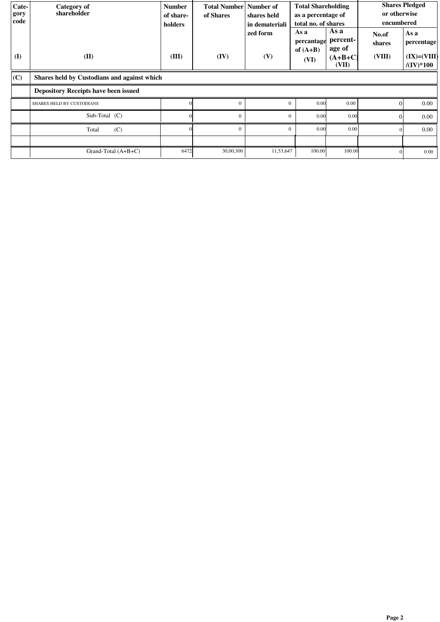| Cate-<br>gory<br>code | Category of<br>shareholder                  | <b>Number</b><br>of share-<br>holders | Total Number Number of<br>of Shares | shares held<br>in demateriali<br>zed form | <b>Total Shareholding</b><br>as a percentage of<br>total no. of shares<br>As a<br>As a<br>percent-<br>percantage |                              | or otherwise<br>encumbered<br>No.of<br>shares | <b>Shares Pledged</b><br>As a<br>percentage |  |
|-----------------------|---------------------------------------------|---------------------------------------|-------------------------------------|-------------------------------------------|------------------------------------------------------------------------------------------------------------------|------------------------------|-----------------------------------------------|---------------------------------------------|--|
| (I)                   | (II)                                        | (III)                                 | (IV)                                | (V)                                       | of $(A+B)$<br>(VI)                                                                                               | age of<br>$(A+B+C)$<br>(VII) | (VIII)                                        | $(IX)=(VIII)$<br>$/(\mathrm{IV})^*100$      |  |
| (C)                   | Shares held by Custodians and against which |                                       |                                     |                                           |                                                                                                                  |                              |                                               |                                             |  |
|                       | <b>Depository Receipts have been issued</b> |                                       |                                     |                                           |                                                                                                                  |                              |                                               |                                             |  |
|                       | <b>SHARES HELD BY CUSTODIANS</b>            |                                       | $\theta$                            | $\Omega$                                  | 0.00                                                                                                             | $0.00\,$                     | $\Omega$                                      | 0.00                                        |  |
|                       | Sub-Total (C)                               |                                       | $\theta$                            | $\Omega$                                  | 0.00                                                                                                             | 0.00                         | $\Omega$                                      | 0.00                                        |  |
|                       | (C)<br>Total                                |                                       | $\Omega$                            | $\Omega$                                  | 0.00                                                                                                             | 0.00                         |                                               | 0.00                                        |  |
|                       |                                             |                                       |                                     |                                           |                                                                                                                  |                              |                                               |                                             |  |
|                       | Grand-Total $(A+B+C)$                       | 6472                                  | 30,00,300                           | 11,53,647                                 | 100.00                                                                                                           | 100.00                       |                                               | $0.00\,$                                    |  |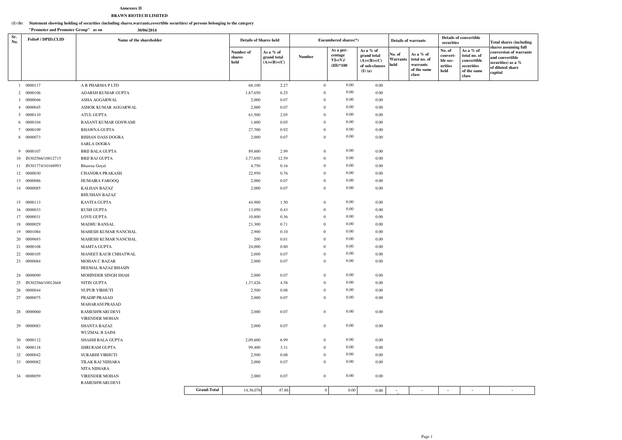#### **Statement showing holding of securities (including shares,warrants,covertible securities) of persons belonging to the category (1) (b)**

#### **Annexure IIBRAWN BIOTECH LIMITED**

**"Promoter and Promoter Group" as on 30/06/2014**

| Sr.<br>No. | <b>Folio#/DPID,CLID</b> | Name of the shareholder                  |                    | <b>Details of Shares held</b> |                                           |                | Encumbered shares(*)                             |                                                                        | <b>Details of warrants</b>        |                                                                 | <b>Details of convertible</b><br>securities       |                                                                                | <b>Total shares (including</b><br>shares assuming full                                         |
|------------|-------------------------|------------------------------------------|--------------------|-------------------------------|-------------------------------------------|----------------|--------------------------------------------------|------------------------------------------------------------------------|-----------------------------------|-----------------------------------------------------------------|---------------------------------------------------|--------------------------------------------------------------------------------|------------------------------------------------------------------------------------------------|
|            |                         |                                          |                    | Number of<br>shares<br>held   | As a % of<br>grand total<br>$(A)+(B)+(C)$ | <b>Number</b>  | As a per-<br>centage<br>$VI=(V)/$<br>$(III)*100$ | As a % of<br>grand total<br>$(A)+(B)+(C)$<br>of sub-clauses<br>(I) (a) | No. of<br><b>Warrants</b><br>held | As a $%$ of<br>total no. of<br>warrants<br>of the same<br>class | No. of<br>convert-<br>ble sec-<br>urities<br>held | As a % of<br>total no. of<br>convertible<br>securities<br>of the same<br>class | conversion of warrants<br>and convertible<br>securities) as a %<br>of diluted share<br>capital |
|            | 1 0000117               | A B PHARMA P LTD                         |                    | 68,100                        | 2.27                                      | $\overline{0}$ | $0.00\,$                                         | 0.00                                                                   |                                   |                                                                 |                                                   |                                                                                |                                                                                                |
|            | 2 0000106               | ADARSH KUMAR GUPTA                       |                    | 1,87,650                      | 6.25                                      | $\theta$       | $0.00\,$                                         | 0.00                                                                   |                                   |                                                                 |                                                   |                                                                                |                                                                                                |
|            | 3 0000046               | ASHA AGGARWAL                            |                    | 2,000                         | 0.07                                      | $\theta$       | $0.00\,$                                         | 0.00                                                                   |                                   |                                                                 |                                                   |                                                                                |                                                                                                |
|            | 4 0000045               | ASHOK KUMAR AGGARWAL                     |                    | 2,000                         | 0.07                                      | $\overline{0}$ | $0.00\,$                                         | 0.00                                                                   |                                   |                                                                 |                                                   |                                                                                |                                                                                                |
|            | 5 0000110               | ATUL GUPTA                               |                    | 61,500                        | 2.05                                      | $\overline{0}$ | 0.00                                             | 0.00                                                                   |                                   |                                                                 |                                                   |                                                                                |                                                                                                |
|            | 6 0000104               | <b>BASANT KUMAR GOSWAMI</b>              |                    | 1,600                         | 0.05                                      | $\overline{0}$ | $0.00\,$                                         | 0.00                                                                   |                                   |                                                                 |                                                   |                                                                                |                                                                                                |
|            | 7 0000109               | <b>BHAWNA GUPTA</b>                      |                    | 27,700                        | 0.92                                      | $\overline{0}$ | $0.00\,$                                         | 0.00                                                                   |                                   |                                                                 |                                                   |                                                                                |                                                                                                |
|            | 8 0000073               | <b>BISHAN DASS DOGRA</b>                 |                    | 2,000                         | 0.07                                      | $\overline{0}$ | $0.00\,$                                         | 0.00                                                                   |                                   |                                                                 |                                                   |                                                                                |                                                                                                |
|            |                         | <b>SARLA DOGRA</b>                       |                    |                               |                                           |                |                                                  |                                                                        |                                   |                                                                 |                                                   |                                                                                |                                                                                                |
|            | 9 0000107               | <b>BRIJ BALA GUPTA</b>                   |                    | 89,600                        | 2.99                                      | $\overline{0}$ | $0.00\,$                                         | 0.00                                                                   |                                   |                                                                 |                                                   |                                                                                |                                                                                                |
|            | 10 IN302566/10012715    | <b>BRIJ RAJ GUPTA</b>                    |                    | 3,77,650                      | 12.59                                     | $\overline{0}$ | $0.00\,$                                         | 0.00                                                                   |                                   |                                                                 |                                                   |                                                                                |                                                                                                |
|            | 11 IN301774/10168993    | Bhawna Goyal                             |                    | 4,750                         | 0.16                                      | $\overline{0}$ | $0.00\,$                                         | 0.00                                                                   |                                   |                                                                 |                                                   |                                                                                |                                                                                                |
|            | 12 0000030              | CHANDRA PRAKASH                          |                    | 22,950                        | 0.76                                      | $\overline{0}$ | $0.00\,$                                         | 0.00                                                                   |                                   |                                                                 |                                                   |                                                                                |                                                                                                |
|            | 13 0000086              | HUMAIRA FAROOQ                           |                    | 2,000                         | 0.07                                      | $\mathbf{0}$   | $0.00\,$                                         | 0.00                                                                   |                                   |                                                                 |                                                   |                                                                                |                                                                                                |
|            | 14 0000085              | <b>KALHAN BAZAZ</b>                      |                    | 2,000                         | 0.07                                      | $\overline{0}$ | $0.00\,$                                         | 0.00                                                                   |                                   |                                                                 |                                                   |                                                                                |                                                                                                |
|            |                         | <b>BHUSHAN BAZAZ</b>                     |                    |                               |                                           |                |                                                  |                                                                        |                                   |                                                                 |                                                   |                                                                                |                                                                                                |
|            | 15 0000113              | KAVITA GUPTA                             |                    | 44,900                        | 1.50                                      | $\overline{0}$ | $0.00\,$                                         | 0.00                                                                   |                                   |                                                                 |                                                   |                                                                                |                                                                                                |
|            | 16 0000033              | <b>KUSH GUPTA</b>                        |                    | 13,050                        | 0.43                                      | $\overline{0}$ | $0.00\,$                                         | 0.00                                                                   |                                   |                                                                 |                                                   |                                                                                |                                                                                                |
|            | 17 0000031              | <b>LOVE GUPTA</b>                        |                    | 10,800                        | 0.36                                      | $\overline{0}$ | $0.00\,$                                         | 0.00                                                                   |                                   |                                                                 |                                                   |                                                                                |                                                                                                |
|            | 18 0000029              | <b>MADHU BANSAL</b>                      |                    | 21,300                        | 0.71                                      | $\theta$       | $0.00\,$                                         | 0.00                                                                   |                                   |                                                                 |                                                   |                                                                                |                                                                                                |
|            | 19 0001084              | MAHESH KUMAR NANCHAL                     |                    | 2,900                         | 0.10                                      | $\overline{0}$ | $0.00\,$                                         | 0.00                                                                   |                                   |                                                                 |                                                   |                                                                                |                                                                                                |
|            | 20 0009693              | MAHESH KUMAR NANCHAL                     |                    | 200                           | 0.01                                      | $\overline{0}$ | $0.00\,$                                         | 0.00                                                                   |                                   |                                                                 |                                                   |                                                                                |                                                                                                |
|            | 21 0000108              | <b>MAMTA GUPTA</b>                       |                    | 24,000                        | 0.80                                      | $\mathbf{0}$   | $0.00\,$                                         | 0.00                                                                   |                                   |                                                                 |                                                   |                                                                                |                                                                                                |
|            | 22 0000105              | MANEET KAUR CHHATWAL                     |                    | 2,000                         | 0.07                                      | $\overline{0}$ | $0.00\,$                                         | 0.00                                                                   |                                   |                                                                 |                                                   |                                                                                |                                                                                                |
|            | 23 0000084              | MOHAN C BAZAR                            |                    | 2,000                         | 0.07                                      | $\overline{0}$ | $0.00\,$                                         | 0.00                                                                   |                                   |                                                                 |                                                   |                                                                                |                                                                                                |
|            |                         | HEEMAL BAZAZ BHASIN                      |                    |                               |                                           |                |                                                  |                                                                        |                                   |                                                                 |                                                   |                                                                                |                                                                                                |
|            | 24 0000090              | MOHINDER SINGH SHAH                      |                    | 2,000                         | 0.07                                      | $\overline{0}$ | $0.00\,$                                         | 0.00                                                                   |                                   |                                                                 |                                                   |                                                                                |                                                                                                |
|            | 25 IN302566/10012668    | NITIN GUPTA                              |                    | 1,37,426                      | 4.58                                      | $\overline{0}$ | $0.00\,$                                         | 0.00                                                                   |                                   |                                                                 |                                                   |                                                                                |                                                                                                |
|            | 26 0000044              | NUPUR VIBHUTI                            |                    | 2,500                         | 0.08                                      | $\overline{0}$ | $0.00\,$                                         | $0.00\,$                                                               |                                   |                                                                 |                                                   |                                                                                |                                                                                                |
|            | 27 0000075              | PRADIP PRASAD                            |                    | 2,000                         | 0.07                                      | $\overline{0}$ | $0.00\,$                                         | 0.00                                                                   |                                   |                                                                 |                                                   |                                                                                |                                                                                                |
|            |                         | MAHARANI PRASAD                          |                    |                               |                                           |                |                                                  |                                                                        |                                   |                                                                 |                                                   |                                                                                |                                                                                                |
|            | 28 0000060              | RAMESHWARI DEVI                          |                    | 2,000                         | 0.07                                      | $\overline{0}$ | $0.00\,$                                         | 0.00                                                                   |                                   |                                                                 |                                                   |                                                                                |                                                                                                |
|            |                         | <b>VIRENDER MOHAN</b>                    |                    |                               |                                           |                |                                                  |                                                                        |                                   |                                                                 |                                                   |                                                                                |                                                                                                |
|            | 29 00000083             | <b>SHANTA BAZAZ</b>                      |                    | 2,000                         | 0.07                                      | $\overline{0}$ | $0.00\,$                                         | 0.00                                                                   |                                   |                                                                 |                                                   |                                                                                |                                                                                                |
|            |                         | WUZMAL B SAINI                           |                    |                               |                                           |                |                                                  |                                                                        |                                   |                                                                 |                                                   |                                                                                |                                                                                                |
|            | 30 0000112              | SHASHI BALA GUPTA                        |                    | 2,09,600                      | 6.99                                      | $\overline{0}$ | $0.00\,$                                         | 0.00                                                                   |                                   |                                                                 |                                                   |                                                                                |                                                                                                |
|            | 31 0000118              | SHRI RAM GUPTA                           |                    | 99,400                        | 3.31                                      | $\overline{0}$ | $0.00\,$                                         | 0.00                                                                   |                                   |                                                                 |                                                   |                                                                                |                                                                                                |
|            | 32 0000042              | SURABHI VIBHUTI                          |                    | 2,500                         | 0.08                                      | $\overline{0}$ | $0.00\,$                                         | 0.00                                                                   |                                   |                                                                 |                                                   |                                                                                |                                                                                                |
|            | 33 0000082              | TILAK RAJ NIJHARA                        |                    | 2,000                         | 0.07                                      | $\overline{0}$ | $0.00\,$                                         | 0.00                                                                   |                                   |                                                                 |                                                   |                                                                                |                                                                                                |
|            |                         | NITA NIJHARA                             |                    |                               |                                           |                |                                                  |                                                                        |                                   |                                                                 |                                                   |                                                                                |                                                                                                |
|            | 34 0000059              | <b>VIRENDER MOHAN</b><br>RAMESHWARI DEVI |                    | 2,000                         | $0.07\,$                                  | $\overline{0}$ | $0.00\,$                                         | 0.00                                                                   |                                   |                                                                 |                                                   |                                                                                |                                                                                                |
|            |                         |                                          | <b>Grand-Total</b> |                               | 47.86                                     | $\overline{0}$ |                                                  |                                                                        |                                   |                                                                 | $\sim$                                            | $\sim$                                                                         |                                                                                                |
|            |                         |                                          |                    | 14,36,076                     |                                           |                | $0.00\,$                                         | $0.00\,$                                                               | $\overline{\phantom{a}}$          | $\overline{\phantom{a}}$                                        |                                                   |                                                                                | $\sim$                                                                                         |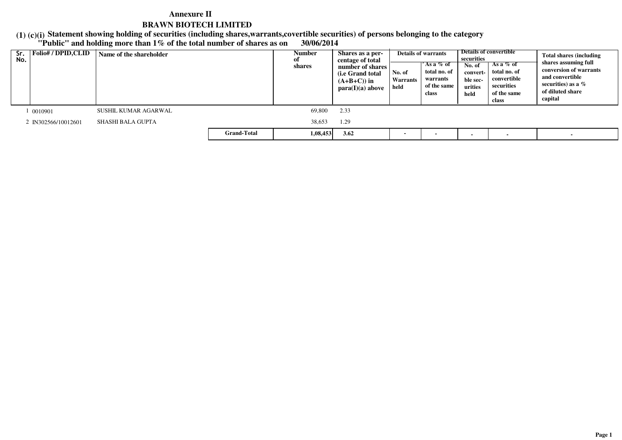**Statement showing holding of securities (including shares,warrants,covertible securities) of persons belonging to the category**

# **(1) (c)(i) "Public" and holding more than 1% of the total number of shares as on 30/06/2014**

| Sr.<br>No. | <b>Folio#/DPID,CLID</b> | Name of the shareholder |                    | Number<br>shares | Shares as a per-<br>centage of total<br>number of shares<br>( <i>i.e</i> Grand total)<br>$(A+B+C)$ in<br>para(I)(a) above | No. of<br>Warrants<br>held | <b>Details of warrants</b><br>'As a % of<br>total no. of<br>warrants<br>of the same<br>class | securities<br>No. of<br>convert-<br>ble sec-<br>urities<br>held | Details of convertible<br>As a % of<br>total no. of<br>convertible<br>securities<br>of the same<br>class | <b>Total shares (including</b><br>shares assuming full<br>conversion of warrants<br>and convertible<br>securities) as a $\%$<br>of diluted share<br>capital |
|------------|-------------------------|-------------------------|--------------------|------------------|---------------------------------------------------------------------------------------------------------------------------|----------------------------|----------------------------------------------------------------------------------------------|-----------------------------------------------------------------|----------------------------------------------------------------------------------------------------------|-------------------------------------------------------------------------------------------------------------------------------------------------------------|
|            | 0010901                 | SUSHIL KUMAR AGARWAL    |                    | 69,800           | 2.33                                                                                                                      |                            |                                                                                              |                                                                 |                                                                                                          |                                                                                                                                                             |
|            | 2 IN302566/10012601     | SHASHI BALA GUPTA       |                    | 38,653           | 1.29                                                                                                                      |                            |                                                                                              |                                                                 |                                                                                                          |                                                                                                                                                             |
|            |                         |                         | <b>Grand-Total</b> | 1,08,453         | 3.62                                                                                                                      | $\blacksquare$             |                                                                                              |                                                                 |                                                                                                          |                                                                                                                                                             |

 $\sim$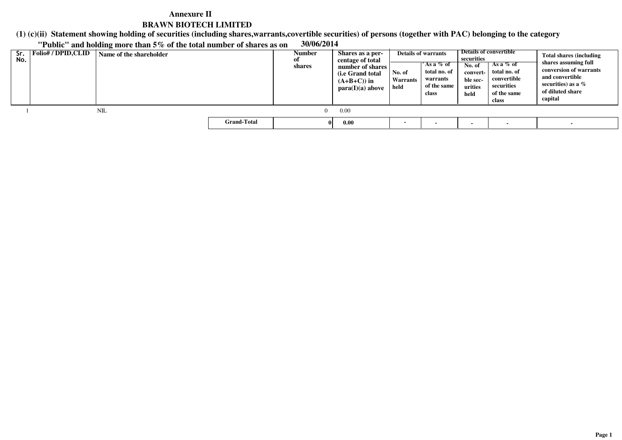**(1) (c)(ii)Statement showing holding of securities (including shares,warrants,covertible securities) of persons (together with PAC) belonging to the category**

**"Public" and holding more than 5% of the total number of shares as on 30/06/2014**

| Sr.<br>No. | Folio# / DPID,CLID | Name of the shareholder |                    | Number<br>0Ī<br>shares | Shares as a per-<br>centage of total<br>number of shares<br>(i.e Grand total)<br>$(A+B+C)$ in<br>para(I)(a) above | No. of<br>Warrants<br>held | <b>Details of warrants</b><br>´As a % of<br>total no. of<br>warrants<br>of the same<br>class | securities<br>No. of<br>convert-<br>ble sec-<br>urities<br>held | Details of convertible<br>As a $%$ of<br>total no. of<br>convertible<br>securities<br>of the same<br>class | <b>Total shares (including</b><br>shares assuming full<br>conversion of warrants<br>and convertible<br>securities) as a $%$<br>of diluted share<br>capital |
|------------|--------------------|-------------------------|--------------------|------------------------|-------------------------------------------------------------------------------------------------------------------|----------------------------|----------------------------------------------------------------------------------------------|-----------------------------------------------------------------|------------------------------------------------------------------------------------------------------------|------------------------------------------------------------------------------------------------------------------------------------------------------------|
|            |                    | NIL                     |                    |                        | 0.00                                                                                                              |                            |                                                                                              |                                                                 |                                                                                                            |                                                                                                                                                            |
|            |                    |                         | <b>Grand-Total</b> |                        | 0.00                                                                                                              |                            |                                                                                              |                                                                 |                                                                                                            |                                                                                                                                                            |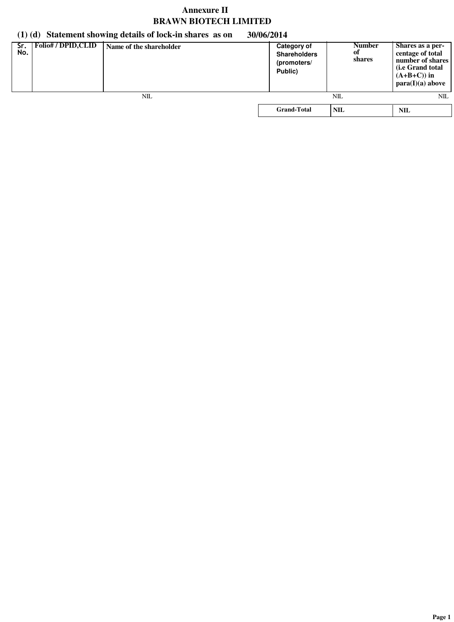# **(1) (d) Statement showing details of lock-in shares as on 30/06/2014**

| Sr.<br>No. | <b>Folio#/DPID,CLID</b> | Name of the shareholder | <b>Category of</b><br><b>Shareholders</b><br>(promoters/<br>Public) | <b>Number</b><br>оf<br>shares | Shares as a per-<br>centage of total<br>number of shares<br>( <i>i.e</i> Grand total<br>$(A+B+C)$ in<br>para(I)(a) above |
|------------|-------------------------|-------------------------|---------------------------------------------------------------------|-------------------------------|--------------------------------------------------------------------------------------------------------------------------|
|            |                         | NIL                     |                                                                     | NIL                           | NIL                                                                                                                      |
|            |                         |                         | <b>Grand-Total</b>                                                  | <b>NIL</b>                    | NIL                                                                                                                      |